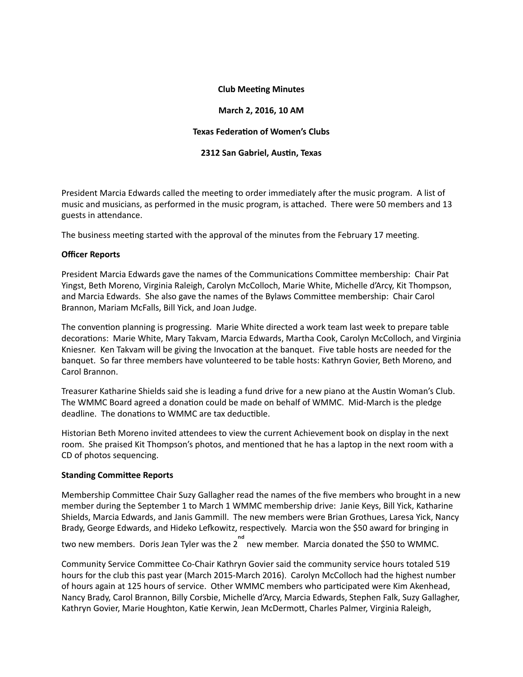### **Club Meeting Minutes**

#### **March 2, 2016, 10 AM**

## **Texas Federation of Women's Clubs**

## **2312 San Gabriel, Austin, Texas**

President Marcia Edwards called the meeting to order immediately after the music program. A list of music and musicians, as performed in the music program, is attached. There were 50 members and 13 guests in attendance.

The business meeting started with the approval of the minutes from the February 17 meeting.

### **Officer Reports**

President Marcia Edwards gave the names of the Communications Committee membership: Chair Pat Yingst, Beth Moreno, Virginia Raleigh, Carolyn McColloch, Marie White, Michelle d'Arcy, Kit Thompson, and Marcia Edwards. She also gave the names of the Bylaws Committee membership: Chair Carol Brannon, Mariam McFalls, Bill Yick, and Joan Judge.

The convention planning is progressing. Marie White directed a work team last week to prepare table decorations: Marie White, Mary Takvam, Marcia Edwards, Martha Cook, Carolyn McColloch, and Virginia Kniesner. Ken Takvam will be giving the Invocation at the banquet. Five table hosts are needed for the banquet. So far three members have volunteered to be table hosts: Kathryn Govier, Beth Moreno, and Carol Brannon.

Treasurer Katharine Shields said she is leading a fund drive for a new piano at the Austin Woman's Club. The WMMC Board agreed a donation could be made on behalf of WMMC. Mid-March is the pledge deadline. The donations to WMMC are tax deductible.

Historian Beth Moreno invited attendees to view the current Achievement book on display in the next room. She praised Kit Thompson's photos, and mentioned that he has a laptop in the next room with a CD of photos sequencing.

## **Standing Committee Reports**

Membership Committee Chair Suzy Gallagher read the names of the five members who brought in a new member during the September 1 to March 1 WMMC membership drive: Janie Keys, Bill Yick, Katharine Shields, Marcia Edwards, and Janis Gammill. The new members were Brian Grothues, Laresa Yick, Nancy Brady, George Edwards, and Hideko Lefkowitz, respectively. Marcia won the \$50 award for bringing in

two new members. Doris Jean Tyler was the 2 state of member. Marcia donated the \$50 to WMMC.

Community Service Committee Co-Chair Kathryn Govier said the community service hours totaled 519 hours for the club this past year (March 2015-March 2016). Carolyn McColloch had the highest number of hours again at 125 hours of service. Other WMMC members who participated were Kim Akenhead, Nancy Brady, Carol Brannon, Billy Corsbie, Michelle d'Arcy, Marcia Edwards, Stephen Falk, Suzy Gallagher, Kathryn Govier, Marie Houghton, Katie Kerwin, Jean McDermott, Charles Palmer, Virginia Raleigh,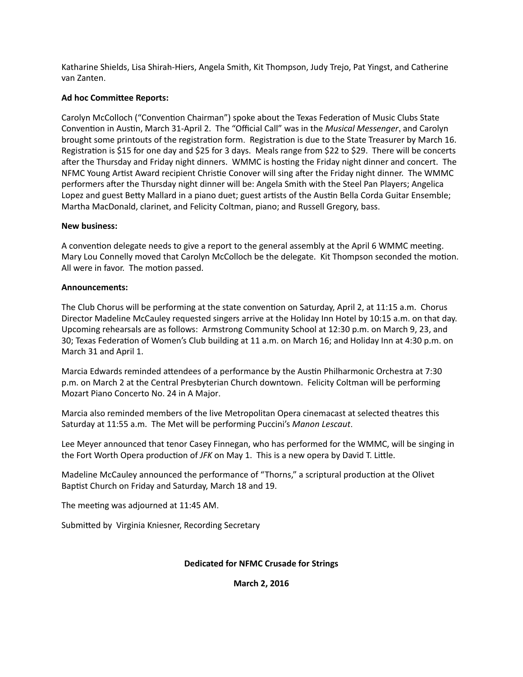Katharine Shields, Lisa Shirah-Hiers, Angela Smith, Kit Thompson, Judy Trejo, Pat Yingst, and Catherine van Zanten.

# **Ad hoc Committee Reports:**

Carolyn McColloch ("Convention Chairman") spoke about the Texas Federation of Music Clubs State Convention in Austin, March 31-April 2. The "Official Call" was in the *Musical Messenger*, and Carolyn brought some printouts of the registration form. Registration is due to the State Treasurer by March 16. Registration is \$15 for one day and \$25 for 3 days. Meals range from \$22 to \$29. There will be concerts after the Thursday and Friday night dinners. WMMC is hosting the Friday night dinner and concert. The NFMC Young Artist Award recipient Christie Conover will sing after the Friday night dinner. The WMMC performers after the Thursday night dinner will be: Angela Smith with the Steel Pan Players; Angelica Lopez and guest Betty Mallard in a piano duet; guest artists of the Austin Bella Corda Guitar Ensemble; Martha MacDonald, clarinet, and Felicity Coltman, piano; and Russell Gregory, bass.

## **New business:**

A convention delegate needs to give a report to the general assembly at the April 6 WMMC meeting. Mary Lou Connelly moved that Carolyn McColloch be the delegate. Kit Thompson seconded the motion. All were in favor. The motion passed.

# **Announcements:**

The Club Chorus will be performing at the state convention on Saturday, April 2, at 11:15 a.m. Chorus Director Madeline McCauley requested singers arrive at the Holiday Inn Hotel by 10:15 a.m. on that day. Upcoming rehearsals are as follows: Armstrong Community School at 12:30 p.m. on March 9, 23, and 30; Texas Federation of Women's Club building at 11 a.m. on March 16; and Holiday Inn at 4:30 p.m. on March 31 and April 1.

Marcia Edwards reminded attendees of a performance by the Austin Philharmonic Orchestra at 7:30 p.m. on March 2 at the Central Presbyterian Church downtown. Felicity Coltman will be performing Mozart Piano Concerto No. 24 in A Major.

Marcia also reminded members of the live Metropolitan Opera cinemacast at selected theatres this Saturday at 11:55 a.m. The Met will be performing Puccini's Manon Lescaut.

Lee Meyer announced that tenor Casey Finnegan, who has performed for the WMMC, will be singing in the Fort Worth Opera production of JFK on May 1. This is a new opera by David T. Little.

Madeline McCauley announced the performance of "Thorns," a scriptural production at the Olivet Baptist Church on Friday and Saturday, March 18 and 19.

The meeting was adjourned at 11:45 AM.

Submitted by Virginia Kniesner, Recording Secretary

## **Dedicated for NFMC Crusade for Strings**

**March 2, 2016**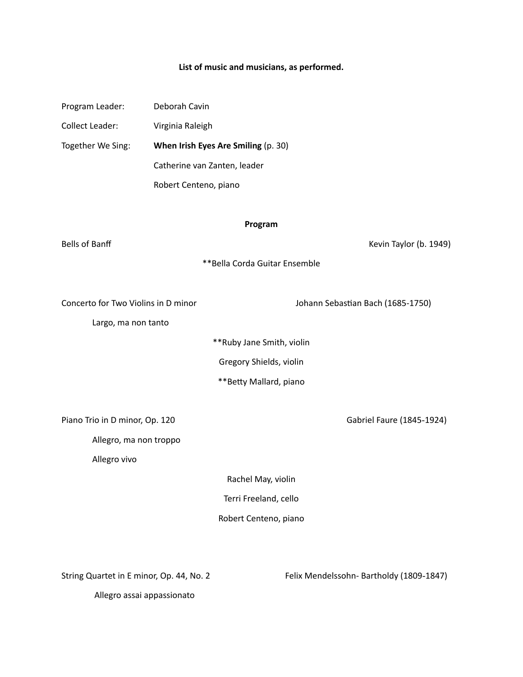# List of music and musicians, as performed.

| Program Leader:                          | Deborah Cavin                |                                          |
|------------------------------------------|------------------------------|------------------------------------------|
| <b>Collect Leader:</b>                   | Virginia Raleigh             |                                          |
| Together We Sing:                        |                              | When Irish Eyes Are Smiling (p. 30)      |
|                                          | Catherine van Zanten, leader |                                          |
|                                          | Robert Centeno, piano        |                                          |
|                                          |                              |                                          |
|                                          |                              | Program                                  |
| <b>Bells of Banff</b>                    |                              | Kevin Taylor (b. 1949)                   |
|                                          |                              | ** Bella Corda Guitar Ensemble           |
|                                          |                              |                                          |
| Concerto for Two Violins in D minor      |                              | Johann Sebastian Bach (1685-1750)        |
| Largo, ma non tanto                      |                              |                                          |
|                                          |                              | **Ruby Jane Smith, violin                |
|                                          |                              | Gregory Shields, violin                  |
|                                          |                              | **Betty Mallard, piano                   |
|                                          |                              |                                          |
| Piano Trio in D minor, Op. 120           |                              | Gabriel Faure (1845-1924)                |
| Allegro, ma non troppo                   |                              |                                          |
| Allegro vivo                             |                              |                                          |
|                                          |                              | Rachel May, violin                       |
|                                          |                              | Terri Freeland, cello                    |
|                                          |                              | Robert Centeno, piano                    |
|                                          |                              |                                          |
|                                          |                              |                                          |
| String Quartet in E minor, Op. 44, No. 2 |                              | Felix Mendelssohn- Bartholdy (1809-1847) |

Allegro assai appassionato